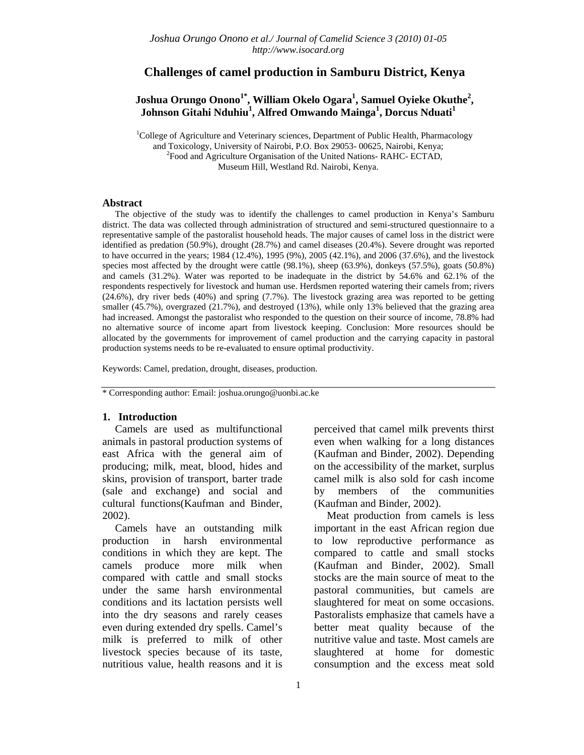## **Challenges of camel production in Samburu District, Kenya**

# $Joshua$  Orungo Onono $^{1*}$ , William Okelo Ogara $^1$ , Samuel Oyieke Okuthe $^2$ ,  $Johnson Gitahi Nduhiu<sup>1</sup>, Alfred Omwando Maimga<sup>1</sup>, Dorcus Nduati<sup>1</sup>$

<sup>1</sup>College of Agriculture and Veterinary sciences, Department of Public Health, Pharmacology and Toxicology, University of Nairobi, P.O. Box 29053- 00625, Nairobi, Kenya; 2 <sup>2</sup>Food and Agriculture Organisation of the United Nations- RAHC- ECTAD, Museum Hill, Westland Rd. Nairobi, Kenya.

#### **Abstract**

The objective of the study was to identify the challenges to camel production in Kenya's Samburu district. The data was collected through administration of structured and semi-structured questionnaire to a representative sample of the pastoralist household heads. The major causes of camel loss in the district were identified as predation (50.9%), drought (28.7%) and camel diseases (20.4%). Severe drought was reported to have occurred in the years; 1984 (12.4%), 1995 (9%), 2005 (42.1%), and 2006 (37.6%), and the livestock species most affected by the drought were cattle (98.1%), sheep (63.9%), donkeys (57.5%), goats (50.8%) and camels (31.2%). Water was reported to be inadequate in the district by 54.6% and 62.1% of the respondents respectively for livestock and human use. Herdsmen reported watering their camels from; rivers (24.6%), dry river beds (40%) and spring (7.7%). The livestock grazing area was reported to be getting smaller (45.7%), overgrazed (21.7%), and destroyed (13%), while only 13% believed that the grazing area had increased. Amongst the pastoralist who responded to the question on their source of income, 78.8% had no alternative source of income apart from livestock keeping. Conclusion: More resources should be allocated by the governments for improvement of camel production and the carrying capacity in pastoral production systems needs to be re-evaluated to ensure optimal productivity.

Keywords: Camel, predation, drought, diseases, production.

\* Corresponding author: Email: joshua.orungo@uonbi.ac.ke

#### **1. Introduction**

Camels are used as multifunctional animals in pastoral production systems of east Africa with the general aim of producing; milk, meat, blood, hides and skins, provision of transport, barter trade (sale and exchange) and social and cultural functions(Kaufman and Binder, 2002).

Camels have an outstanding milk production in harsh environmental conditions in which they are kept. The camels produce more milk when compared with cattle and small stocks under the same harsh environmental conditions and its lactation persists well into the dry seasons and rarely ceases even during extended dry spells. Camel's milk is preferred to milk of other livestock species because of its taste, nutritious value, health reasons and it is

perceived that camel milk prevents thirst even when walking for a long distances (Kaufman and Binder, 2002). Depending on the accessibility of the market, surplus camel milk is also sold for cash income by members of the communities (Kaufman and Binder, 2002).

Meat production from camels is less important in the east African region due to low reproductive performance as compared to cattle and small stocks (Kaufman and Binder, 2002). Small stocks are the main source of meat to the pastoral communities, but camels are slaughtered for meat on some occasions. Pastoralists emphasize that camels have a better meat quality because of the nutritive value and taste. Most camels are slaughtered at home for domestic consumption and the excess meat sold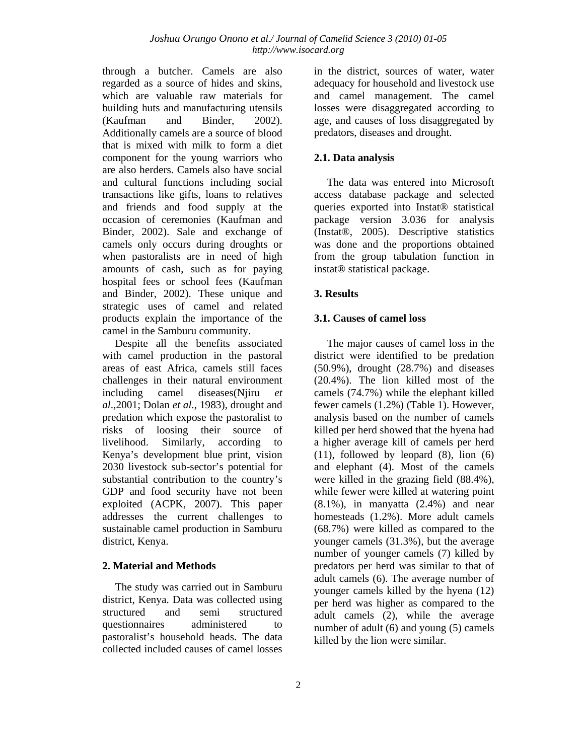through a butcher. Camels are also regarded as a source of hides and skins, which are valuable raw materials for building huts and manufacturing utensils (Kaufman and Binder, 2002). Additionally camels are a source of blood that is mixed with milk to form a diet component for the young warriors who are also herders. Camels also have social and cultural functions including social transactions like gifts, loans to relatives and friends and food supply at the occasion of ceremonies (Kaufman and Binder, 2002). Sale and exchange of camels only occurs during droughts or when pastoralists are in need of high amounts of cash, such as for paying hospital fees or school fees (Kaufman and Binder, 2002). These unique and strategic uses of camel and related products explain the importance of the camel in the Samburu community.

Despite all the benefits associated with camel production in the pastoral areas of east Africa, camels still faces challenges in their natural environment including camel diseases(Njiru *et al*.,2001; Dolan *et al*., 1983), drought and predation which expose the pastoralist to risks of loosing their source of livelihood. Similarly, according to Kenya's development blue print, vision 2030 livestock sub-sector's potential for substantial contribution to the country's GDP and food security have not been exploited (ACPK, 2007). This paper addresses the current challenges to sustainable camel production in Samburu district, Kenya.

## **2. Material and Methods**

The study was carried out in Samburu district, Kenya. Data was collected using structured and semi structured questionnaires administered to pastoralist's household heads. The data collected included causes of camel losses

in the district, sources of water, water adequacy for household and livestock use and camel management. The camel losses were disaggregated according to age, and causes of loss disaggregated by predators, diseases and drought.

# **2.1. Data analysis**

The data was entered into Microsoft access database package and selected queries exported into Instat® statistical package version 3.036 for analysis (Instat®, 2005). Descriptive statistics was done and the proportions obtained from the group tabulation function in instat® statistical package.

## **3. Results**

## **3.1. Causes of camel loss**

The major causes of camel loss in the district were identified to be predation (50.9%), drought (28.7%) and diseases (20.4%). The lion killed most of the camels (74.7%) while the elephant killed fewer camels (1.2%) (Table 1). However, analysis based on the number of camels killed per herd showed that the hyena had a higher average kill of camels per herd (11), followed by leopard (8), lion (6) and elephant (4). Most of the camels were killed in the grazing field (88.4%), while fewer were killed at watering point  $(8.1\%)$ , in manyatta  $(2.4\%)$  and near homesteads (1.2%). More adult camels (68.7%) were killed as compared to the younger camels (31.3%), but the average number of younger camels (7) killed by predators per herd was similar to that of adult camels (6). The average number of younger camels killed by the hyena (12) per herd was higher as compared to the adult camels (2), while the average number of adult (6) and young (5) camels killed by the lion were similar.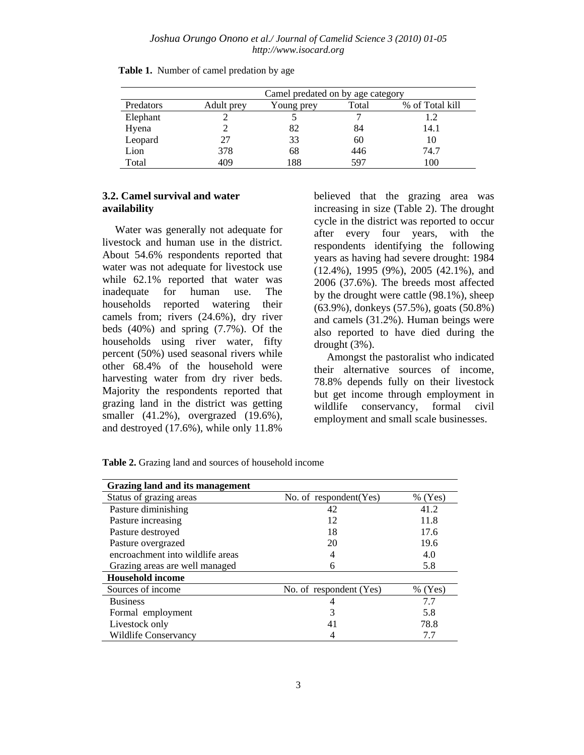|           |            | Camel predated on by age category |       |                 |  |  |
|-----------|------------|-----------------------------------|-------|-----------------|--|--|
| Predators | Adult prey | Young prey                        | Total | % of Total kill |  |  |
| Elephant  |            |                                   |       |                 |  |  |
| Hyena     |            | 82                                | 84    | 14.1            |  |  |
| Leopard   | 27         | 33                                | 60    | 10              |  |  |
| Lion      | 378        | 68                                | 446   | 74.7            |  |  |
| Total     | 409        | 188                               | 597   | 100             |  |  |

|  |  |  | Table 1. Number of camel predation by age |  |  |
|--|--|--|-------------------------------------------|--|--|
|--|--|--|-------------------------------------------|--|--|

## **3.2. Camel survival and water availability**

Water was generally not adequate for livestock and human use in the district. About 54.6% respondents reported that water was not adequate for livestock use while 62.1% reported that water was inadequate for human use. The households reported watering their camels from; rivers (24.6%), dry river beds (40%) and spring (7.7%). Of the households using river water, fifty percent (50%) used seasonal rivers while other 68.4% of the household were harvesting water from dry river beds. Majority the respondents reported that grazing land in the district was getting smaller (41.2%), overgrazed (19.6%), and destroyed (17.6%), while only 11.8%

believed that the grazing area was increasing in size (Table 2). The drought cycle in the district was reported to occur after every four years, with the respondents identifying the following years as having had severe drought: 1984 (12.4%), 1995 (9%), 2005 (42.1%), and 2006 (37.6%). The breeds most affected by the drought were cattle (98.1%), sheep (63.9%), donkeys (57.5%), goats (50.8%) and camels (31.2%). Human beings were also reported to have died during the drought (3%).

Amongst the pastoralist who indicated their alternative sources of income, 78.8% depends fully on their livestock but get income through employment in wildlife conservancy, formal civil employment and small scale businesses.

| Grazing land and its management  |                          |           |  |  |  |
|----------------------------------|--------------------------|-----------|--|--|--|
| Status of grazing areas          | No. of $respondent(Yes)$ | $%$ (Yes) |  |  |  |
| Pasture diminishing              | 42                       | 41.2      |  |  |  |
| Pasture increasing               | 12                       | 11.8      |  |  |  |
| Pasture destroyed                | 18                       | 17.6      |  |  |  |
| Pasture overgrazed               | 20                       | 19.6      |  |  |  |
| encroachment into wildlife areas |                          | 4.0       |  |  |  |
| Grazing areas are well managed   | 6                        | 5.8       |  |  |  |
| <b>Household income</b>          |                          |           |  |  |  |
| Sources of income                | No. of respondent (Yes)  | $%$ (Yes) |  |  |  |
| <b>Business</b>                  |                          | 7.7       |  |  |  |
| Formal employment                | 3                        | 5.8       |  |  |  |
| Livestock only                   | 41                       | 78.8      |  |  |  |
| <b>Wildlife Conservancy</b>      |                          | 7.7       |  |  |  |

**Table 2.** Grazing land and sources of household income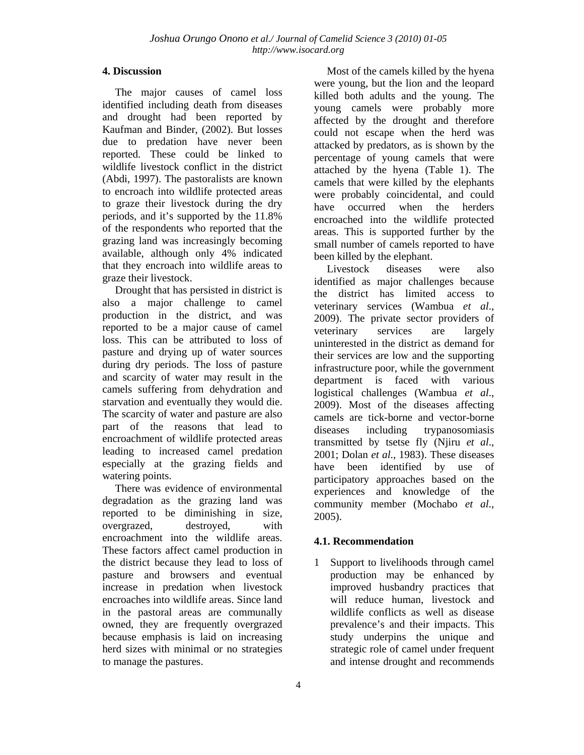# **4. Discussion**

The major causes of camel loss identified including death from diseases and drought had been reported by Kaufman and Binder, (2002). But losses due to predation have never been reported. These could be linked to wildlife livestock conflict in the district (Abdi, 1997). The pastoralists are known to encroach into wildlife protected areas to graze their livestock during the dry periods, and it's supported by the 11.8% of the respondents who reported that the grazing land was increasingly becoming available, although only 4% indicated that they encroach into wildlife areas to graze their livestock.

Drought that has persisted in district is also a major challenge to camel production in the district, and was reported to be a major cause of camel loss. This can be attributed to loss of pasture and drying up of water sources during dry periods. The loss of pasture and scarcity of water may result in the camels suffering from dehydration and starvation and eventually they would die. The scarcity of water and pasture are also part of the reasons that lead to encroachment of wildlife protected areas leading to increased camel predation especially at the grazing fields and watering points.

There was evidence of environmental degradation as the grazing land was reported to be diminishing in size, overgrazed, destroyed, with encroachment into the wildlife areas. These factors affect camel production in the district because they lead to loss of pasture and browsers and eventual increase in predation when livestock encroaches into wildlife areas. Since land in the pastoral areas are communally owned, they are frequently overgrazed because emphasis is laid on increasing herd sizes with minimal or no strategies to manage the pastures.

Most of the camels killed by the hyena were young, but the lion and the leopard killed both adults and the young. The young camels were probably more affected by the drought and therefore could not escape when the herd was attacked by predators, as is shown by the percentage of young camels that were attached by the hyena (Table 1). The camels that were killed by the elephants were probably coincidental, and could have occurred when the herders encroached into the wildlife protected areas. This is supported further by the small number of camels reported to have been killed by the elephant.

Livestock diseases were also identified as major challenges because the district has limited access to veterinary services (Wambua *et al*., 2009). The private sector providers of veterinary services are largely uninterested in the district as demand for their services are low and the supporting infrastructure poor, while the government department is faced with various logistical challenges (Wambua *et al*., 2009). Most of the diseases affecting camels are tick-borne and vector-borne diseases including trypanosomiasis transmitted by tsetse fly (Njiru *et al*., 2001; Dolan *et al*., 1983). These diseases have been identified by use of participatory approaches based on the experiences and knowledge of the community member (Mochabo *et al*., 2005).

## **4.1. Recommendation**

1 Support to livelihoods through camel production may be enhanced by improved husbandry practices that will reduce human, livestock and wildlife conflicts as well as disease prevalence's and their impacts. This study underpins the unique and strategic role of camel under frequent and intense drought and recommends